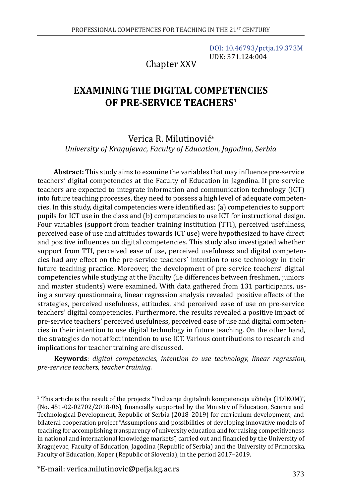[DOI: 10.46793/pctja.19.373M](https://doi.org/10.46793/pctja.19.373M) UDK: 371.124:004

Chapter XXV

# **EXAMINING THE DIGITAL COMPETENCIES OF PRE-SERVICE TEACHERS1**

## Verica R. Milutinović\* *University of Kragujevac, Faculty of Education, Jagodina, Serbia*

**Abstract:** This study aims to examine the variables that may influence pre-service teachers' digital competencies at the Faculty of Education in Jagodina. If pre-service teachers are expected to integrate information and communication technology (ICT) into future teaching processes, they need to possess a high level of adequate competencies. In this study, digital competencies were identified as: (a) competencies to support pupils for ICT use in the class and (b) competencies to use ICT for instructional design. Four variables (support from teacher training institution (TTI), perceived usefulness, perceived ease of use and attitudes towards ICT use) were hypothesized to have direct and positive influences on digital competencies. This study also investigated whether support from TTI, perceived ease of use, perceived usefulness and digital competencies had any effect on the pre-service teachers' intention to use technology in their future teaching practice. Moreover, the development of pre-service teachers' digital competencies while studying at the Faculty (i.e differences between freshmen, juniors and master students) were examined. With data gathered from 131 participants, using a survey questionnaire, linear regression analysis revealed positive effects of the strategies, perceived usefulness, attitudes, and perceived ease of use on pre-service teachers' digital competencies. Furthermore, the results revealed a positive impact of pre-service teachers' perceived usefulness, perceived ease of use and digital competencies in their intention to use digital technology in future teaching. On the other hand, the strategies do not affect intention to use ICT. Various contributions to research and implications for teacher training are discussed.

**Keywords**: *digital competencies, intention to use technology, linear regression, pre-service teachers, teacher training.* 

\*E-mail: [verica.milutinovic@pefja.kg.ac.rs](mailto:verica.milutinovic@pefja.kg.ac.rs)

<sup>1</sup> This article is the result of the projects "Podizanje digitalnih kompetencija učitelja (PDIKOM)", (No. 451-02-02702/2018-06), financially supported by the Ministry of Education, Science and Technological Development, Republic of Serbia (2018–2019) for curriculum development, and bilateral cooperation project "Assumptions and possibilities of developing innovative models of teaching for accomplishing transparency of university education and for raising competitiveness in national and international knowledge markets", carried out and financied by the University of Kragujevac, Faculty of Education, Jagodina (Republic of Serbia) and the University of Primorska, Faculty of Education, Koper (Republic of Slovenia), in the period 2017–2019.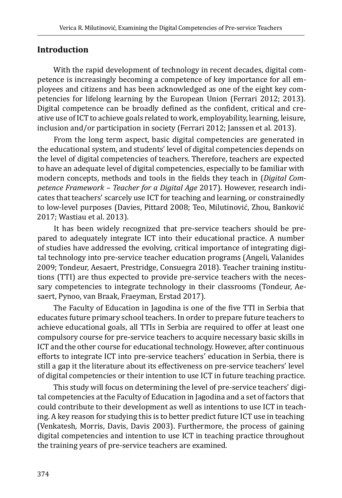### **Introduction**

With the rapid development of technology in recent decades, digital competence is increasingly becoming a competence of key importance for all employees and citizens and has been acknowledged as one of the eight key competencies for lifelong learning by the European Union (Ferrari 2012; 2013). Digital competence can be broadly defined as the confident, critical and creative use of ICT to achieve goals related to work, employability, learning, leisure, inclusion and/or participation in society (Ferrari 2012; Janssen et al. 2013).

From the long term aspect, basic digital competencies are generated in the educational system, and students' level of digital competencies depends on the level of digital competencies of teachers. Therefore, teachers are expected to have an adequate level of digital competencies, especially to be familiar with modern concepts, methods and tools in the fields they teach in (*Digital Competence Framework – Teacher for a Digital Age* 2017). However, research indicates that teachers' scarcely use ICT for teaching and learning, or constrainedly to low-level purposes (Davies, Pittard 2008; Teo, Milutinović, Zhou, Banković 2017; Wastiau et al. 2013).

It has been widely recognized that pre-service teachers should be prepared to adequately integrate ICT into their educational practice. A number of studies have addressed the evolving, critical importance of integrating digital technology into pre-service teacher education programs (Angeli, Valanides 2009; Tondeur, Aesaert, Prestridge, Consuegra 2018). Teacher training institutions (TTI) are thus expected to provide pre-service teachers with the necessary competencies to integrate technology in their classrooms (Tondeur, Aesaert, Pynoo, van Braak, Fraeyman, Erstad 2017).

The Faculty of Education in Jagodina is one of the five TTI in Serbia that educates future primary school teachers. In order to prepare future teachers to achieve educational goals, all TTIs in Serbia are required to offer at least one compulsory course for pre-service teachers to acquire necessary basic skills in ICT and the other course for educational technology. However, after continuous efforts to integrate ICT into pre-service teachers' education in Serbia, there is still a gap it the literature about its effectiveness on pre-service teachers' level of digital competencies or their intention to use ICT in future teaching practice.

This study will focus on determining the level of pre-service teachers' digital competencies at the Faculty of Education in Jagodina and a set of factors that could contribute to their development as well as intentions to use ICT in teaching. A key reason for studying this is to better predict future ICT use in teaching (Venkatesh, Morris, Davis, Davis 2003). Furthermore, the process of gaining digital competencies and intention to use ICT in teaching practice throughout the training years of pre-service teachers are examined.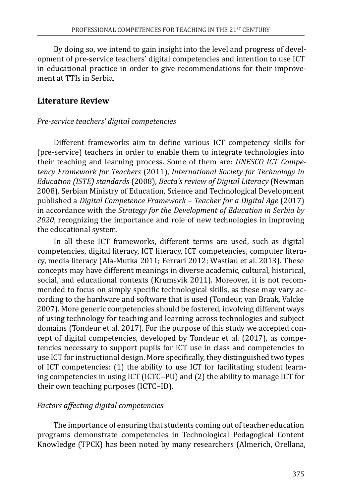By doing so, we intend to gain insight into the level and progress of development of pre-service teachers' digital competencies and intention to use ICT in educational practice in order to give recommendations for their improvement at TTIs in Serbia.

## **Literature Review**

#### *Pre-service teachers' digital competencies*

Different frameworks aim to define various ICT competency skills for (pre-service) teachers in order to enable them to integrate technologies into their teaching and learning process. Some of them are: *UNESCO ICT Competency Framework for Teachers* (2011), *International Society for Technology in Education (ISTE) standards* (2008), *Becta's review of Digital Literacy* (Newman 2008). Serbian Ministry of Education, Science and Technological Development published a *Digital Competence Framework – Teacher for a Digital Age* (2017) in accordance with the *Strategy for the Development of Education in Serbia by 2020*, recognizing the importance and role of new technologies in improving the educational system.

In all these ICT frameworks, different terms are used, such as digital competencies, digital literacy, ICT literacy, ICT competencies, computer literacy, media literacy (Ala-Mutka 2011; Ferrari 2012; Wastiau et al. 2013). These concepts may have different meanings in diverse academic, cultural, historical, social, and educational contexts (Krumsvik 2011). Moreover, it is not recommended to focus on simply specific technological skills, as these may vary according to the hardware and software that is used (Tondeur, van Braak, Valcke 2007). More generic competencies should be fostered, involving different ways of using technology for teaching and learning across technologies and subject domains (Tondeur et al. 2017). For the purpose of this study we accepted concept of digital competencies, developed by Tondeur et al. (2017), as competencies necessary to support pupils for ICT use in class and competencies to use ICT for instructional design. More specifically, they distinguished two types of ICT competencies: (1) the ability to use ICT for facilitating student learning competencies in using ICT (ICTC-PU) and (2) the ability to manage ICT for their own teaching purposes (ICTC-ID).

#### *Factors affecting digital competencies*

The importance of ensuring that students coming out of teacher education programs demonstrate competencies in Technological Pedagogical Content Knowledge (TPCK) has been noted by many researchers (Almerich, Orellana,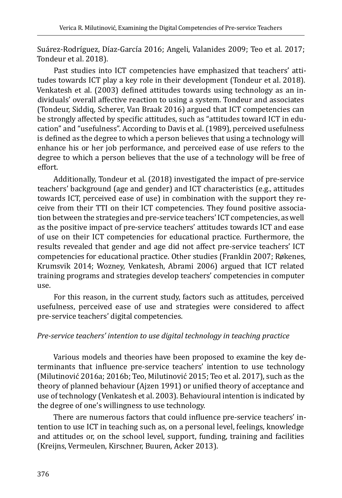Suárez-Rodríguez, Díaz-García 2016; Angeli, Valanides 2009; Teo et al. 2017; Tondeur et al. 2018).

Past studies into ICT competencies have emphasized that teachers' attitudes towards ICT play a key role in their development (Tondeur et al. 2018). Venkatesh et al. (2003) defined attitudes towards using technology as an individuals' overall affective reaction to using a system. Tondeur and associates (Tondeur, Siddiq, Scherer, Van Braak 2016) argued that ICT competencies can be strongly affected by specific attitudes, such as "attitudes toward ICT in education" and "usefulness". According to Davis et al. (1989), perceived usefulness is defined as the degree to which a person believes that using a technology will enhance his or her job performance, and perceived ease of use refers to the degree to which a person believes that the use of a technology will be free of effort.

Additionally, Tondeur et al. (2018) investigated the impact of pre-service teachers' background (age and gender) and ICT characteristics (e.g., attitudes towards ICT, perceived ease of use) in combination with the support they receive from their TTI on their ICT competencies. They found positive association between the strategies and pre-service teachers' ICT competencies, as well as the positive impact of pre-service teachers' attitudes towards ICT and ease of use on their ICT competencies for educational practice. Furthermore, the results revealed that gender and age did not affect pre-service teachers' ICT competencies for educational practice. Other studies (Franklin 2007; Røkenes, Krumsvik 2014; Wozney, Venkatesh, Abrami 2006) argued that ICT related training programs and strategies develop teachers' competencies in computer use.

For this reason, in the current study, factors such as attitudes, perceived usefulness, perceived ease of use and strategies were considered to affect pre-service teachers' digital competencies.

## *Pre-service teachers' intention to use digital technology in teaching practice*

Various models and theories have been proposed to examine the key determinants that influence pre-service teachers' intention to use technology (Milutinović 2016a; 2016b; Teo, Milutinović 2015; Teo et al. 2017), such as the theory of planned behaviour (Ajzen 1991) or unified theory of acceptance and use of technology (Venkatesh et al. 2003). Behavioural intention is indicated by the degree of one's willingness to use technology.

There are numerous factors that could influence pre-service teachers' intention to use ICT in teaching such as, on a personal level, feelings, knowledge and attitudes or, on the school level, support, funding, training and facilities (Kreijns, Vermeulen, Kirschner, Buuren, Acker 2013).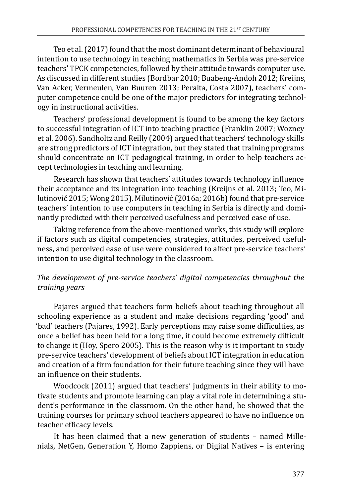Teo et al. (2017) found that the most dominant determinant of behavioural intention to use technology in teaching mathematics in Serbia was pre-service teachers' TPCK competencies, followed by their attitude towards computer use. As discussed in different studies (Bordbar 2010; Buabeng-Andoh 2012; Kreijns, Van Acker, Vermeulen, Van Buuren 2013; Peralta, Costa 2007), teachers' computer competence could be one of the major predictors for integrating technology in instructional activities.

Teachers' professional development is found to be among the key factors to successful integration of ICT into teaching practice (Franklin 2007; Wozney et al. 2006). Sandholtz and Reilly (2004) argued that teachers' technology skills are strong predictors of ICT integration, but they stated that training programs should concentrate on ICT pedagogical training, in order to help teachers accept technologies in teaching and learning.

Research has shown that teachers' attitudes towards technology influence their acceptance and its integration into teaching (Kreijns et al. 2013; Teo, Milutinović 2015; Wong 2015). Milutinović (2016a; 2016b) found that pre-service teachers' intention to use computers in teaching in Serbia is directly and dominantly predicted with their perceived usefulness and perceived ease of use.

Taking reference from the above-mentioned works, this study will explore if factors such as digital competencies, strategies, attitudes, perceived usefulness, and perceived ease of use were considered to affect pre-service teachers' intention to use digital technology in the classroom.

## *The development of pre-service teachers' digital competencies throughout the training years*

Pajares argued that teachers form beliefs about teaching throughout all schooling experience as a student and make decisions regarding 'good' and 'bad' teachers (Pajares, 1992). Early perceptions may raise some difficulties, as once a belief has been held for a long time, it could become extremely difficult to change it (Hoy, Spero 2005). This is the reason why is it important to study pre-service teachers' development of beliefs about ICT integration in education and creation of a firm foundation for their future teaching since they will have an influence on their students.

Woodcock (2011) argued that teachers' judgments in their ability to motivate students and promote learning can play a vital role in determining a student's performance in the classroom. On the other hand, he showed that the training courses for primary school teachers appeared to have no influence on teacher efficacy levels.

It has been claimed that a new generation of students – named Millenials, NetGen, Generation Y, Homo Zappiens, or Digital Natives – is entering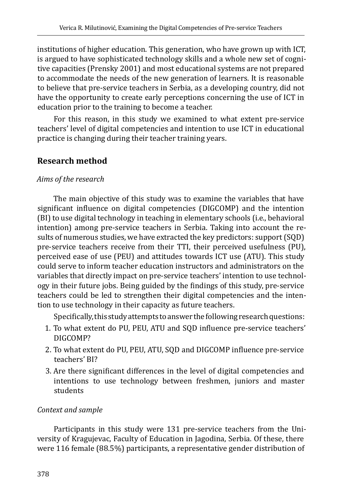institutions of higher education. This generation, who have grown up with ICT, is argued to have sophisticated technology skills and a whole new set of cognitive capacities (Prensky 2001) and most educational systems are not prepared to accommodate the needs of the new generation of learners. It is reasonable to believe that pre-service teachers in Serbia, as a developing country, did not have the opportunity to create early perceptions concerning the use of ICT in education prior to the training to become a teacher.

For this reason, in this study we examined to what extent pre-service teachers' level of digital competencies and intention to use ICT in educational practice is changing during their teacher training years.

## **Research method**

## *Aims of the research*

The main objective of this study was to examine the variables that have significant influence on digital competencies (DIGCOMP) and the intention (BI) to use digital technology in teaching in elementary schools (i.e., behavioral intention) among pre-service teachers in Serbia. Taking into account the results of numerous studies, we have extracted the key predictors: support (SQD) pre-service teachers receive from their TTI, their perceived usefulness (PU), perceived ease of use (PEU) and attitudes towards ICT use (ATU). This study could serve to inform teacher education instructors and administrators on the variables that directly impact on pre-service teachers' intention to use technology in their future jobs. Being guided by the findings of this study, pre-service teachers could be led to strengthen their digital competencies and the intention to use technology in their capacity as future teachers.

Specifically, this study attempts to answer the following research questions:

- 1. To what extent do PU, PEU, ATU and SQD influence pre-service teachers' DIGCOMP?
- 2. To what extent do PU, PEU, ATU, SQD and DIGCOMP influence pre-service teachers' BI?
- 3. Are there significant differences in the level of digital competencies and intentions to use technology between freshmen, juniors and master students

## *Context and sample*

Participants in this study were 131 pre-service teachers from the University of Kragujevac, Faculty of Education in Jagodina, Serbia. Of these, there were 116 female (88.5%) participants, a representative gender distribution of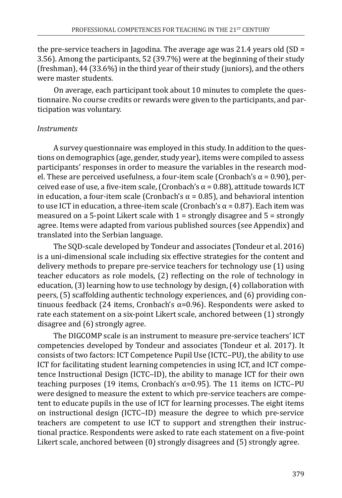the pre-service teachers in Jagodina. The average age was 21.4 years old (SD = 3.56). Among the participants, 52 (39.7%) were at the beginning of their study (freshman), 44 (33.6%) in the third year of their study (juniors), and the others were master students.

On average, each participant took about 10 minutes to complete the questionnaire. No course credits or rewards were given to the participants, and participation was voluntary.

### *Instruments*

A survey questionnaire was employed in this study. In addition to the questions on demographics (age, gender, study year), items were compiled to assess participants' responses in order to measure the variables in the research model. These are perceived usefulness, a four-item scale (Cronbach's  $\alpha$  = 0.90), perceived ease of use, a five-item scale, (Cronbach's  $\alpha$  = 0.88), attitude towards ICT in education, a four-item scale (Cronbach's  $\alpha$  = 0.85), and behavioral intention to use ICT in education, a three-item scale (Cronbach's α = 0.87). Each item was measured on a 5-point Likert scale with  $1 =$  strongly disagree and  $5 =$  strongly agree. Items were adapted from various published sources (see Appendix) and translated into the Serbian language.

The SQD-scale developed by Tondeur and associates (Tondeur et al. 2016) is a uni-dimensional scale including six effective strategies for the content and delivery methods to prepare pre-service teachers for technology use (1) using teacher educators as role models, (2) reflecting on the role of technology in education, (3) learning how to use technology by design, (4) collaboration with peers, (5) scaffolding authentic technology experiences, and (6) providing continuous feedback (24 items, Cronbach's  $\alpha$ =0.96). Respondents were asked to rate each statement on a six-point Likert scale, anchored between (1) strongly disagree and (6) strongly agree.

The DIGCOMP scale is an instrument to measure pre-service teachers' ICT competencies developed by Tondeur and associates (Tondeur et al. 2017). It consists of two factors: ICT Competence Pupil Use (ICTC-PU), the ability to use ICT for facilitating student learning competencies in using ICT, and ICT competence Instructional Design (ICTC-ID), the ability to manage ICT for their own teaching purposes (19 items, Cronbach's  $\alpha$ =0.95). The 11 items on ICTC–PU were designed to measure the extent to which pre-service teachers are competent to educate pupils in the use of ICT for learning processes. The eight items on instructional design (ICTC-ID) measure the degree to which pre-service teachers are competent to use ICT to support and strengthen their instructional practice. Respondents were asked to rate each statement on a five-point Likert scale, anchored between (0) strongly disagrees and (5) strongly agree.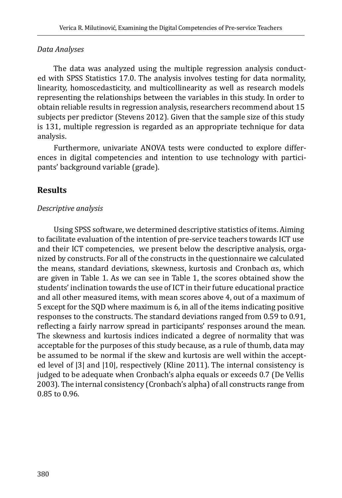#### *Data Analyses*

The data was analyzed using the multiple regression analysis conducted with SPSS Statistics 17.0. The analysis involves testing for data normality, linearity, homoscedasticity, and multicollinearity as well as research models representing the relationships between the variables in this study. In order to obtain reliable results in regression analysis, researchers recommend about 15 subjects per predictor (Stevens 2012). Given that the sample size of this study is 131, multiple regression is regarded as an appropriate technique for data analysis.

Furthermore, univariate ANOVA tests were conducted to explore differences in digital competencies and intention to use technology with participants' background variable (grade).

## **Results**

#### *Descriptive analysis*

Using SPSS software, we determined descriptive statistics of items. Aiming to facilitate evaluation of the intention of pre-service teachers towards ICT use and their ICT competencies, we present below the descriptive analysis, organized by constructs. For all of the constructs in the questionnaire we calculated the means, standard deviations, skewness, kurtosis and Cronbach αs, which are given in Table 1. As we can see in Table 1, the scores obtained show the students' inclination towards the use of ICT in their future educational practice and all other measured items, with mean scores above 4, out of a maximum of 5 except for the SQD where maximum is 6, in all of the items indicating positive responses to the constructs. The standard deviations ranged from 0.59 to 0.91, reflecting a fairly narrow spread in participants' responses around the mean. The skewness and kurtosis indices indicated a degree of normality that was acceptable for the purposes of this study because, as a rule of thumb, data may be assumed to be normal if the skew and kurtosis are well within the accepted level of |3| and |10|, respectively (Kline 2011). The internal consistency is judged to be adequate when Cronbach's alpha equals or exceeds 0.7 (De Vellis 2003). The internal consistency (Cronbach's alpha) of all constructs range from 0.85 to 0.96.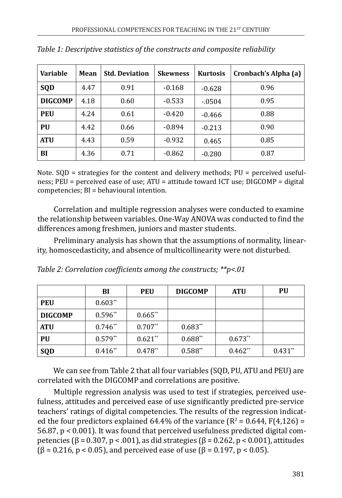| Variable       | Mean | <b>Std. Deviation</b> | <b>Skewness</b> | <b>Kurtosis</b> | Cronbach's Alpha (a) |
|----------------|------|-----------------------|-----------------|-----------------|----------------------|
| <b>SQD</b>     | 4.47 | 0.91                  | $-0.168$        | $-0.628$        | 0.96                 |
| <b>DIGCOMP</b> | 4.18 | 0.60                  | $-0.533$        | $-0504$         | 0.95                 |
| <b>PEU</b>     | 4.24 | 0.61                  | $-0.420$        | $-0.466$        | 0.88                 |
| PU             | 4.42 | 0.66                  | $-0.894$        | $-0.213$        | 0.90                 |
| <b>ATU</b>     | 4.43 | 0.59                  | $-0.932$        | 0.465           | 0.85                 |
| BI             | 4.36 | 0.71                  | $-0.862$        | $-0.280$        | 0.87                 |

*Table 1: Descriptive statistics of the constructs and composite reliability*

Note. SQD = strategies for the content and delivery methods; PU = perceived usefulness; PEU = perceived ease of use; ATU = attitude toward ICT use; DIGCOMP = digital competencies; BI = behavioural intention.

Correlation and multiple regression analyses were conducted to examine the relationship between variables. One-Way ANOVA was conducted to find the differences among freshmen, juniors and master students.

Preliminary analysis has shown that the assumptions of normality, linearity, homoscedasticity, and absence of multicollinearity were not disturbed.

| Table 2: Correlation coefficients among the constructs; **p<.01 |  |  |  |  |
|-----------------------------------------------------------------|--|--|--|--|
|-----------------------------------------------------------------|--|--|--|--|

|                | BI        | <b>PEU</b> | <b>DIGCOMP</b> | <b>ATU</b> | PU        |
|----------------|-----------|------------|----------------|------------|-----------|
| <b>PEU</b>     | $0.603**$ |            |                |            |           |
| <b>DIGCOMP</b> | $0.596**$ | $0.665**$  |                |            |           |
| <b>ATU</b>     | $0.746**$ | $0.707**$  | $0.683**$      |            |           |
| PU             | $0.579**$ | $0.621**$  | $0.688**$      | $0.673**$  |           |
| SQD            | $0.416**$ | $0.478**$  | $0.588**$      | $0.462**$  | $0.431**$ |

We can see from Table 2 that all four variables (SQD, PU, ATU and PEU) are correlated with the DIGCOMP and correlations are positive.

Multiple regression analysis was used to test if strategies, perceived usefulness, attitudes and perceived ease of use significantly predicted pre-service teachers' ratings of digital competencies. The results of the regression indicated the four predictors explained 64.4% of the variance  $(R^2 = 0.644, F(4,126) =$ 56.87, p < 0.001). It was found that perceived usefulness predicted digital competencies (β = 0.307, p < .001), as did strategies (β = 0.262, p < 0.001), attitudes  $(β = 0.216, p < 0.05)$ , and perceived ease of use  $(β = 0.197, p < 0.05)$ .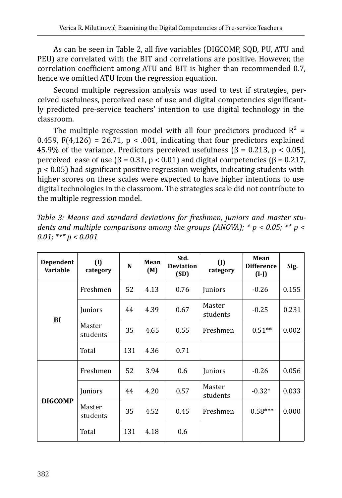As can be seen in Table 2, all five variables (DIGCOMP, SQD, PU, ATU and PEU) are correlated with the BIT and correlations are positive. However, the correlation coefficient among ATU and BIT is higher than recommended 0.7, hence we omitted ATU from the regression equation.

Second multiple regression analysis was used to test if strategies, perceived usefulness, perceived ease of use and digital competencies significantly predicted pre-service teachers' intention to use digital technology in the classroom.

The multiple regression model with all four predictors produced  $R^2$  = 0.459,  $F(4,126) = 26.71$ ,  $p < .001$ , indicating that four predictors explained 45.9% of the variance. Predictors perceived usefulness ( $\beta$  = 0.213, p < 0.05), perceived ease of use (β = 0.31, p < 0.01) and digital competencies ( $β = 0.217$ , p < 0.05) had significant positive regression weights, indicating students with higher scores on these scales were expected to have higher intentions to use digital technologies in the classroom. The strategies scale did not contribute to the multiple regression model.

|                          |  | Table 3: Means and standard deviations for freshmen, juniors and master stu-     |  |  |  |
|--------------------------|--|----------------------------------------------------------------------------------|--|--|--|
|                          |  | dents and multiple comparisons among the groups (ANOVA); * $p < 0.05$ ; ** $p <$ |  |  |  |
| $0.01$ ; *** $p < 0.001$ |  |                                                                                  |  |  |  |

| Dependent<br><b>Variable</b> | (I)<br>category    | N   | Mean<br>(M) | Std.<br><b>Deviation</b><br>(SD) | $($ J $)$<br>category | Mean<br><b>Difference</b><br>$(I-I)$ | Sig.  |
|------------------------------|--------------------|-----|-------------|----------------------------------|-----------------------|--------------------------------------|-------|
|                              | Freshmen           | 52  | 4.13        | 0.76                             | <b>Juniors</b>        | $-0.26$                              | 0.155 |
|                              | Juniors            | 44  | 4.39        | 0.67                             | Master<br>students    | $-0.25$                              | 0.231 |
| BI                           | Master<br>students | 35  | 4.65        | 0.55                             | Freshmen              | $0.51**$                             | 0.002 |
|                              | Total              | 131 | 4.36        | 0.71                             |                       |                                      |       |
|                              | Freshmen           | 52  | 3.94        | 0.6                              | Juniors               | $-0.26$                              | 0.056 |
|                              | Juniors            | 44  | 4.20        | 0.57                             | Master<br>students    | $-0.32*$                             | 0.033 |
| <b>DIGCOMP</b>               | Master<br>students | 35  | 4.52        | 0.45                             | Freshmen              | $0.58***$                            | 0.000 |
|                              | Total              | 131 | 4.18        | 0.6                              |                       |                                      |       |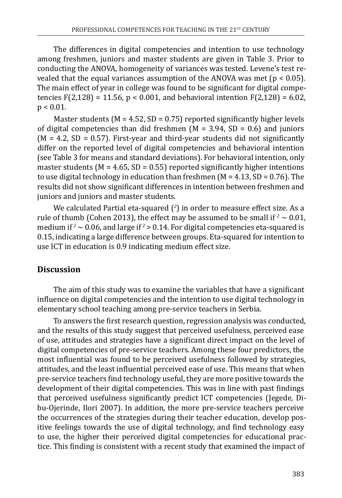The differences in digital competencies and intention to use technology among freshmen, juniors and master students are given in Table 3. Prior to conducting the ANOVA, homogeneity of variances was tested. Levene's test revealed that the equal variances assumption of the ANOVA was met ( $p < 0.05$ ). The main effect of year in college was found to be significant for digital competencies F(2,128) = 11.56,  $p < 0.001$ , and behavioral intention F(2,128) = 6.02,  $p < 0.01$ .

Master students ( $M = 4.52$ ,  $SD = 0.75$ ) reported significantly higher levels of digital competencies than did freshmen  $(M = 3.94, SD = 0.6)$  and juniors  $(M = 4.2, SD = 0.57)$ . First-year and third-year students did not significantly differ on the reported level of digital competencies and behavioral intention (see Table 3 for means and standard deviations). For behavioral intention, only master students ( $M = 4.65$ ,  $SD = 0.55$ ) reported significantly higher intentions to use digital technology in education than freshmen  $(M = 4.13, SD = 0.76)$ . The results did not show significant differences in intention between freshmen and juniors and juniors and master students.

We calculated Partial eta-squared (*<sup>2</sup>* ) in order to measure effect size. As a rule of thumb (Cohen 2013), the effect may be assumed to be small if  $2 \sim 0.01$ , medium if  $2 \sim 0.06$ , and large if  $2 > 0.14$ . For digital competencies eta-squared is 0.15, indicating a large difference between groups. Eta-squared for intention to use ICT in education is 0.9 indicating medium effect size.

## **Discussion**

The aim of this study was to examine the variables that have a significant influence on digital competencies and the intention to use digital technology in elementary school teaching among pre-service teachers in Serbia.

To answers the first research question, regression analysis was conducted, and the results of this study suggest that perceived usefulness, perceived ease of use, attitudes and strategies have a significant direct impact on the level of digital competencies of pre-service teachers. Among these four predictors, the most influential was found to be perceived usefulness followed by strategies, attitudes, and the least influential perceived ease of use. This means that when pre-service teachers find technology useful, they are more positive towards the development of their digital competencies. This was in line with past findings that perceived usefulness significantly predict ICT competencies (Jegede, Dibu-Ojerinde, Ilori 2007). In addition, the more pre-service teachers perceive the occurrences of the strategies during their teacher education, develop positive feelings towards the use of digital technology, and find technology easy to use, the higher their perceived digital competencies for educational practice. This finding is consistent with a recent study that examined the impact of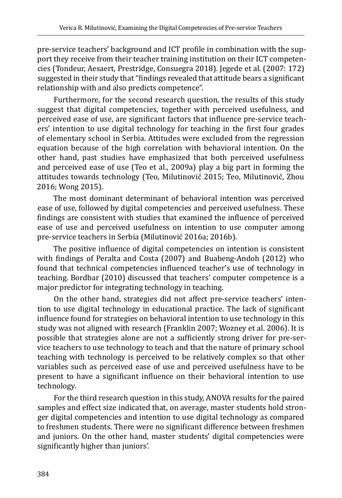pre-service teachers' background and ICT profile in combination with the support they receive from their teacher training institution on their ICT competencies (Tondeur, Aesaert, Prestridge, Consuegra 2018). Jegede et al. (2007: 172) suggested in their study that "findings revealed that attitude bears a significant relationship with and also predicts competence".

Furthermore, for the second research question, the results of this study suggest that digital competencies, together with perceived usefulness, and perceived ease of use, are significant factors that influence pre-service teachers' intention to use digital technology for teaching in the first four grades of elementary school in Serbia. Attitudes were excluded from the regression equation because of the high correlation with behavioral intention. On the other hand, past studies have emphasized that both perceived usefulness and perceived ease of use (Teo et al., 2009a) play a big part in forming the attitudes towards technology (Teo, Milutinović 2015; Teo, Milutinović, Zhou 2016; Wong 2015).

The most dominant determinant of behavioral intention was perceived ease of use, followed by digital competencies and perceived usefulness. These findings are consistent with studies that examined the influence of perceived ease of use and perceived usefulness on intention to use computer among pre-service teachers in Serbia (Milutinović 2016a; 2016b).

The positive influence of digital competencies on intention is consistent with findings of Peralta and Costa (2007) and Buabeng-Andoh (2012) who found that technical competencies influenced teacher's use of technology in teaching. Bordbar (2010) discussed that teachers' computer competence is a major predictor for integrating technology in teaching.

On the other hand, strategies did not affect pre-service teachers' intention to use digital technology in educational practice. The lack of significant influence found for strategies on behavioral intention to use technology in this study was not aligned with research (Franklin 2007; Wozney et al. 2006). It is possible that strategies alone are not a sufficiently strong driver for pre-service teachers to use technology to teach and that the nature of primary school teaching with technology is perceived to be relatively complex so that other variables such as perceived ease of use and perceived usefulness have to be present to have a significant influence on their behavioral intention to use technology.

For the third research question in this study, ANOVA results for the paired samples and effect size indicated that, on average, master students hold stronger digital competencies and intention to use digital technology as compared to freshmen students. There were no significant difference between freshmen and juniors. On the other hand, master students' digital competencies were significantly higher than juniors'.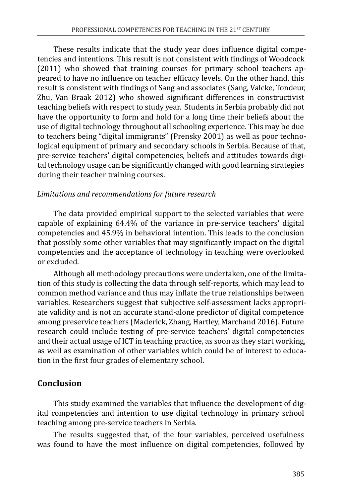These results indicate that the study year does influence digital competencies and intentions. This result is not consistent with findings of Woodcock (2011) who showed that training courses for primary school teachers appeared to have no influence on teacher efficacy levels. On the other hand, this result is consistent with findings of Sang and associates (Sang, Valcke, Tondeur, Zhu, Van Braak 2012) who showed significant differences in constructivist teaching beliefs with respect to study year. Students in Serbia probably did not have the opportunity to form and hold for a long time their beliefs about the use of digital technology throughout all schooling experience. This may be due to teachers being "digital immigrants" (Prensky 2001) as well as poor technological equipment of primary and secondary schools in Serbia. Because of that, pre-service teachers' digital competencies, beliefs and attitudes towards digital technology usage can be significantly changed with good learning strategies during their teacher training courses.

#### *Limitations and recommendations for future research*

The data provided empirical support to the selected variables that were capable of explaining 64.4% of the variance in pre-service teachers' digital competencies and 45.9% in behavioral intention. This leads to the conclusion that possibly some other variables that may significantly impact on the digital competencies and the acceptance of technology in teaching were overlooked or excluded.

Although all methodology precautions were undertaken, one of the limitation of this study is collecting the data through self-reports, which may lead to common method variance and thus may inflate the true relationships between variables. Researchers suggest that subjective self-assessment lacks appropriate validity and is not an accurate stand-alone predictor of digital competence among preservice teachers (Maderick, Zhang, Hartley, Marchand 2016). Future research could include testing of pre-service teachers' digital competencies and their actual usage of ICT in teaching practice, as soon as they start working, as well as examination of other variables which could be of interest to education in the first four grades of elementary school.

## **Conclusion**

This study examined the variables that influence the development of digital competencies and intention to use digital technology in primary school teaching among pre-service teachers in Serbia.

The results suggested that, of the four variables, perceived usefulness was found to have the most influence on digital competencies, followed by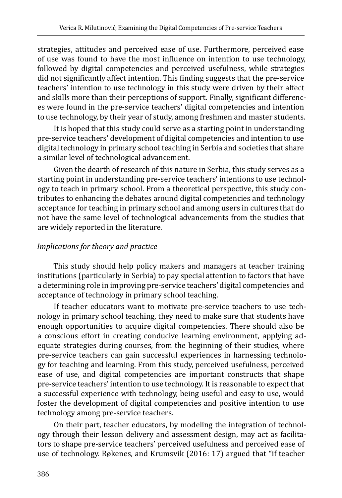strategies, attitudes and perceived ease of use. Furthermore, perceived ease of use was found to have the most influence on intention to use technology, followed by digital competencies and perceived usefulness, while strategies did not significantly affect intention. This finding suggests that the pre-service teachers' intention to use technology in this study were driven by their affect and skills more than their perceptions of support. Finally, significant differences were found in the pre-service teachers' digital competencies and intention to use technology, by their year of study, among freshmen and master students.

It is hoped that this study could serve as a starting point in understanding pre-service teachers' development of digital competencies and intention to use digital technology in primary school teaching in Serbia and societies that share a similar level of technological advancement.

Given the dearth of research of this nature in Serbia, this study serves as a starting point in understanding pre-service teachers' intentions to use technology to teach in primary school. From a theoretical perspective, this study contributes to enhancing the debates around digital competencies and technology acceptance for teaching in primary school and among users in cultures that do not have the same level of technological advancements from the studies that are widely reported in the literature.

## *Implications for theory and practice*

This study should help policy makers and managers at teacher training institutions (particularly in Serbia) to pay special attention to factors that have a determining role in improving pre-service teachers' digital competencies and acceptance of technology in primary school teaching.

If teacher educators want to motivate pre-service teachers to use technology in primary school teaching, they need to make sure that students have enough opportunities to acquire digital competencies. There should also be a conscious effort in creating conducive learning environment, applying adequate strategies during courses, from the beginning of their studies, where pre-service teachers can gain successful experiences in harnessing technology for teaching and learning. From this study, perceived usefulness, perceived ease of use, and digital competencies are important constructs that shape pre-service teachers' intention to use technology. It is reasonable to expect that a successful experience with technology, being useful and easy to use, would foster the development of digital competencies and positive intention to use technology among pre-service teachers.

On their part, teacher educators, by modeling the integration of technology through their lesson delivery and assessment design, may act as facilitators to shape pre-service teachers' perceived usefulness and perceived ease of use of technology. Røkenes, and Krumsvik (2016: 17) argued that "if teacher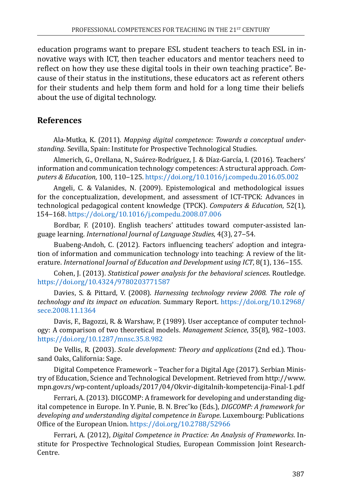education programs want to prepare ESL student teachers to teach ESL in innovative ways with ICT, then teacher educators and mentor teachers need to reflect on how they use these digital tools in their own teaching practice". Because of their status in the institutions, these educators act as referent others for their students and help them form and hold for a long time their beliefs about the use of digital technology.

## **References**

Ala-Mutka, K. (2011). *Mapping digital competence: Towards a conceptual understanding*. Sevilla, Spain: Institute for Prospective Technological Studies.

Almerich, G., Orellana, N., Suárez-Rodríguez, J. & Díaz-García, I. (2016). Teachers' information and communication technology competences: A structural approach. *Computers & Education*, 100, 110‒125.<https://doi.org/10.1016/j.compedu.2016.05.002>

Angeli, C. & Valanides, N. (2009). Epistemological and methodological issues for the conceptualization, development, and assessment of ICT–TPCK: Advances in technological pedagogical content knowledge (TPCK). *Computers & Education*, 52(1), 154‒168.<https://doi.org/10.1016/j.compedu.2008.07.006>

Bordbar, F. (2010). English teachers' attitudes toward computer-assisted language learning. *International Journal of Language Studies*, 4(3), 27‒54.

Buabeng-Andoh, C. (2012). Factors influencing teachers' adoption and integration of information and communication technology into teaching: A review of the literature. *International Journal of Education and Development using ICT*, 8(1), 136-155.

Cohen, J. (2013). *Statistical power analysis for the behavioral sciences*. Routledge. <https://doi.org/10.4324/9780203771587>

Davies, S. & Pittard, V. (2008). *Harnessing technology review 2008. The role of technology and its impact on education*. Summary Report. [https://doi.org/10.12968/](https://doi.org/10.12968/sece.2008.11.1364) [sece.2008.11.1364](https://doi.org/10.12968/sece.2008.11.1364)

Davis, F., Bagozzi, R. & Warshaw, P. (1989). User acceptance of computer technology: A comparison of two theoretical models. *Management Science*, 35(8), 982–1003. <https://doi.org/10.1287/mnsc.35.8.982>

De Vellis, R. (2003). *Scale development: Theory and applications* (2nd ed.). Thousand Oaks, California: Sage.

Digital Competence Framework – Teacher for a Digital Age (2017). Serbian Ministry of Education, Science and Technological Development. Retrieved from http://www. mpn.gov.rs/wp-content/uploads/2017/04/Okvir-digitalnih-kompetencija-Final-1.pdf

Ferrari, A. (2013). DIGCOMP: A framework for developing and understanding digital competence in Europe. In Y. Punie, B. N. Brecˇko (Eds.), *DIGCOMP: A framework for developing and understanding digital competence in Europe*. Luxembourg: Publications Office of the European Union.<https://doi.org/10.2788/52966>

Ferrari, A. (2012), *Digital Competence in Practice: An Analysis of Frameworks*. Institute for Prospective Technological Studies, European Commission Joint Research-Centre.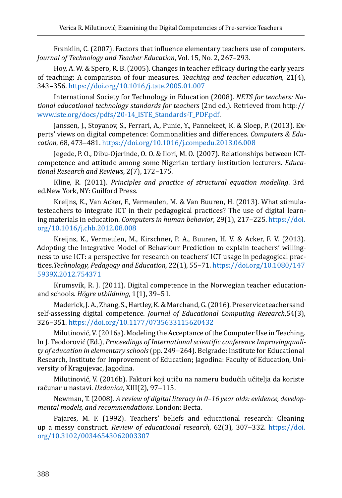Franklin, C. (2007). Factors that influence elementary teachers use of computers. *Journal of Technology and Teacher Education*, Vol. 15, No. 2, 267–293.

Hoy, A. W. & Spero, R. B. (2005). Changes in teacher efficacy during the early years of teaching: A comparison of four measures. *Teaching and teacher education*, 21(4), 343‒356. <https://doi.org/10.1016/j.tate.2005.01.007>

International Society for Technology in Education (2008). *NETS for teachers: National educational technology standards for teachers* (2nd ed.). Retrieved from http:// [www.iste.org/docs/pdfs/20-14\\_ISTE\\_Standards-T\\_PDF.pdf](http://www.iste.org/docs/pdfs/20-14_ISTE_Standards-T_PDF.pdf).

Janssen, J., Stoyanov, S., Ferrari, A., Punie, Y., Pannekeet, K. & Sloep, P. (2013). Experts' views on digital competence: Commonalities and differences. *Computers & Education*, 68, 473‒481. <https://doi.org/10.1016/j.compedu.2013.06.008>

Jegede, P. O., Dibu-Ojerinde, O. O. & Ilori, M. O. (2007). Relationships between ICTcompetence and attitude among some Nigerian tertiary institution lecturers. *Educational Research and Reviews*, 2(7), 172‒175.

Kline, R. (2011). *Principles and practice of structural equation modeling*. 3rd ed.New York, NY: Guilford Press.

Kreijns, K., Van Acker, F., Vermeulen, M. & Van Buuren, H. (2013). What stimulatesteachers to integrate ICT in their pedagogical practices? The use of digital learning materials in education. *Computers in human behavior*, 29(1), 217‒225. [https://doi.](https://doi.org/10.1016/j.chb.2012.08.008) [org/10.1016/j.chb.2012.08.008](https://doi.org/10.1016/j.chb.2012.08.008)

Kreijns, K., Vermeulen, M., Kirschner, P. A., Buuren, H. V. & Acker, F. V. (2013). Adopting the Integrative Model of Behaviour Prediction to explain teachers' willingness to use ICT: a perspective for research on teachers' ICT usage in pedagogical practices.*Technology, Pedagogy and Education*, 22(1), 55‒71. [https://doi.org/10.1080/147](https://doi.org/10.1080/1475939X.2012.754371) [5939X.2012.754371](https://doi.org/10.1080/1475939X.2012.754371)

Krumsvik, R. J. (2011). Digital competence in the Norwegian teacher educationand schools. *Högre utbildning*, 1(1), 39‒51.

Maderick, J. A., Zhang, S., Hartley, K. & Marchand, G. (2016). Preservice teachersand self-assessing digital competence. *Journal of Educational Computing Research*,54(3), 326‒351. [https://doi.org/10.1177/0735633115620432](https://doi.org/10.1177%2F0735633115620432)

Milutinović, V. (2016a). Modeling the Acceptance of the Computer Use in Teaching. In J. Teodorović (Ed.), *Proceedings of International scientific conference Improvingquality of education in elementary schools* (pp. 249‒264). Belgrade: Institute for Educational Research, Institute for Improvement of Education; Jagodina: Faculty of Education, University of Kragujevac, Jagodina.

Milutinović, V. (2016b). Faktori koji utiču na nameru budućih učitelјa da koriste računar u nastavi. *Uzdanica*, XIII(2), 97-115.

Newman, T. (2008). *A review of digital literacy in 0–16 year olds: evidence, developmental models, and recommendations*. London: Becta.

Pajares, M. F. (1992). Teachers' beliefs and educational research: Cleaning up a messy construct. *Review of educational research*, 62(3), 307-332. [https://doi.](https://doi.org/10.3102/00346543062003307) [org/10.3102/00346543062003307](https://doi.org/10.3102/00346543062003307)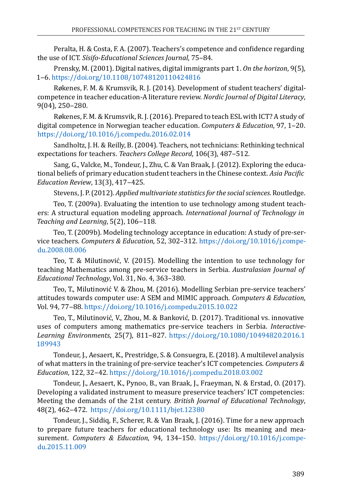Peralta, H. & Costa, F. A. (2007). Teachers's competence and confidence regarding the use of ICT. *Sísifo-Educational Sciences Journal*, 75‒84.

Prensky, M. (2001). Digital natives, digital immigrants part 1. *On the horizon*, 9(5), 1‒6. <https://doi.org/10.1108/10748120110424816>

Røkenes, F. M. & Krumsvik, R. J. (2014). Development of student teachers' digitalcompetence in teacher education-A literature review. *Nordic Journal of Digital Literacy*, 9(04), 250‒280.

Røkenes, F. M. & Krumsvik, R. J. (2016). Prepared to teach ESL with ICT? A study of digital competence in Norwegian teacher education. *Computers & Education*, 97, 1‒20. <https://doi.org/10.1016/j.compedu.2016.02.014>

Sandholtz, J. H. & Reilly, B. (2004). Teachers, not technicians: Rethinking technical expectations for teachers. *Teachers College Record*, 106(3), 487–512.

Sang, G., Valcke, M., Tondeur, J., Zhu, C. & Van Braak, J. (2012). Exploring the educational beliefs of primary education student teachers in the Chinese context. *Asia Pacific Education Review*, 13(3), 417‒425.

Stevens, J. P. (2012). *Applied multivariate statistics for the social sciences*. Routledge.

Teo, T. (2009a). Evaluating the intention to use technology among student teachers: A structural equation modeling approach. *International Journal of Technology in Teaching and Learning*, 5(2), 106‒118.

Teo, T. (2009b). Modeling technology acceptance in education: A study of pre-service teachers. *Computers & Education*, 52, 302–312. [https://doi.org/10.1016/j.compe](https://doi.org/10.1016/j.compedu.2008.08.006)[du.2008.08.006](https://doi.org/10.1016/j.compedu.2008.08.006)

Teo, T. & Milutinović, V. (2015). Modelling the intention to use technology for teaching Mathematics among pre-service teachers in Serbia. *Australasian Journal of Educational Technology*, Vol. 31, No. 4, 363–380.

Teo, T., Milutinović V. & Zhou, M. (2016). Modelling Serbian pre-service teachers' attitudes towards computer use: A SEM and MIMIC approach. *Computers & Education*, Vol. 94, 77‒88. <https://doi.org/10.1016/j.compedu.2015.10.022>

Teo, T., Milutinović, V., Zhou, M. & Banković, D. (2017). Traditional vs. innovative uses of computers among mathematics pre-service teachers in Serbia. *Interactive-Learning Environments*, 25(7), 811‒827. [https://doi.org/10.1080/10494820.2016.1](https://doi.org/10.1080/10494820.2016.1189943) [189943](https://doi.org/10.1080/10494820.2016.1189943)

Tondeur, J., Aesaert, K., Prestridge, S. & Consuegra, E. (2018). A multilevel analysis of what matters in the training of pre-service teacher's ICT competencies. *Computers & Education*, 122, 32‒42.<https://doi.org/10.1016/j.compedu.2018.03.002>

Tondeur, J., Aesaert, K., Pynoo, B., van Braak, J., Fraeyman, N. & Erstad, O. (2017). Developing a validated instrument to measure preservice teachers' ICT competencies: Meeting the demands of the 21st century. *British Journal of Educational Technology*, 48(2), 462‒472. <https://doi.org/10.1111/bjet.12380>

Tondeur, J., Siddiq, F., Scherer, R. & Van Braak, J. (2016). Time for a new approach to prepare future teachers for educational technology use: Its meaning and measurement. *Computers & Education*, 94, 134–150. [https://doi.org/10.1016/j.compe](https://doi.org/10.1016/j.compedu.2015.11.009)[du.2015.11.009](https://doi.org/10.1016/j.compedu.2015.11.009)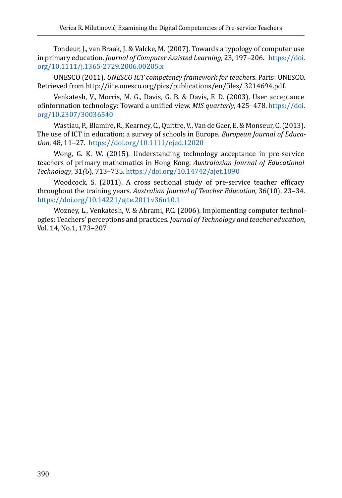Tondeur, J., van Braak, J. & Valcke, M. (2007). Towards a typology of computer use in primary education. *Journal of Computer Assisted Learning*, 23, 197–206. [https://doi.](https://doi.org/10.1111/j.1365-2729.2006.00205.x) [org/10.1111/j.1365-2729.2006.00205.x](https://doi.org/10.1111/j.1365-2729.2006.00205.x)

UNESCO (2011). *UNESCO ICT competency framework for teachers*. Paris: UNESCO. Retrieved from http://iite.unesco.org/pics/publications/en/files/ 3214694.pdf.

Venkatesh, V., Morris, M. G., Davis, G. B. & Davis, F. D. (2003). User acceptance ofinformation technology: Toward a unified view. *MIS quarterly*, 425-478. [https://doi.](https://doi.org/10.2307/30036540) [org/10.2307/30036540](https://doi.org/10.2307/30036540)

Wastiau, P., Blamire, R., Kearney, C., Quittre, V., Van de Gaer, E. & Monseur, C. (2013). The use of ICT in education: a survey of schools in Europe*. European Journal of Education*, 48, 11‒27. <https://doi.org/10.1111/ejed.12020>

Wong, G. K. W. (2015). Understanding technology acceptance in pre-service teachers of primary mathematics in Hong Kong. *Australasian Journal of Educational Technology*, 31*(*6), 713–735. <https://doi.org/10.14742/ajet.1890>

Woodcock, S. (2011). A cross sectional study of pre-service teacher efficacy throughout the training years. *Australian Journal of Teacher Education*, 36(10), 23‒34. <https://doi.org/10.14221/ajte.2011v36n10.1>

Wozney, L., Venkatesh, V. & Abrami, P.C. (2006). Implementing computer technologies: Teachers' perceptions and practices. *Journal of Technology and teacher education*, Vol. 14, No.1, 173-207